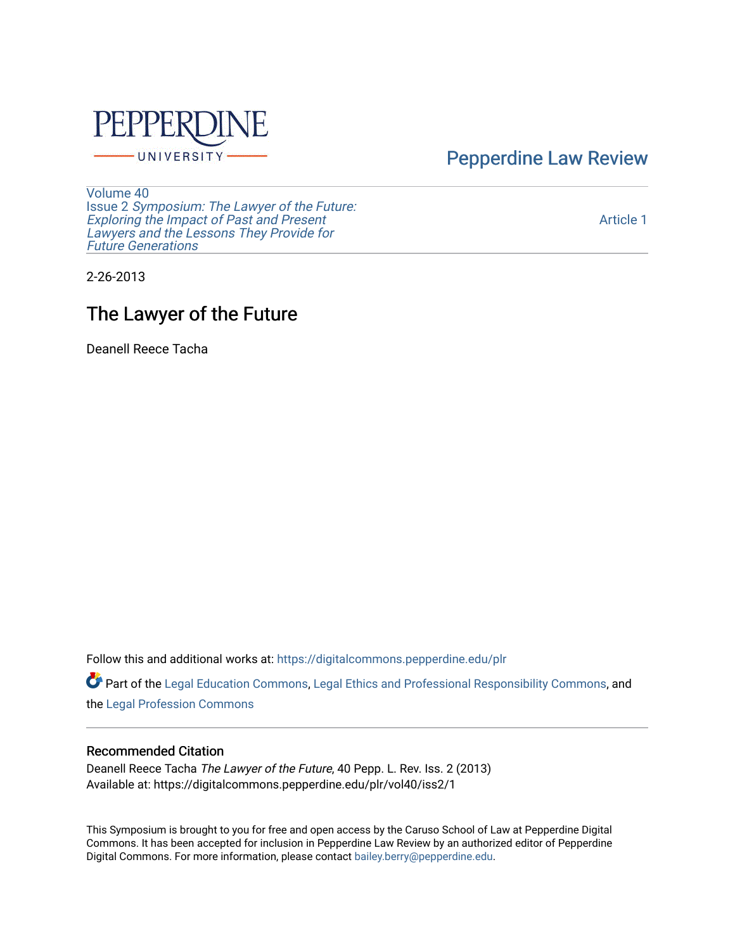

[Pepperdine Law Review](https://digitalcommons.pepperdine.edu/plr) 

[Volume 40](https://digitalcommons.pepperdine.edu/plr/vol40) Issue 2 [Symposium: The Lawyer of the Future:](https://digitalcommons.pepperdine.edu/plr/vol40/iss2)  [Exploring the Impact of Past and Present](https://digitalcommons.pepperdine.edu/plr/vol40/iss2) [Lawyers and the Lessons They Provide for](https://digitalcommons.pepperdine.edu/plr/vol40/iss2)  **Future Generations** 

[Article 1](https://digitalcommons.pepperdine.edu/plr/vol40/iss2/1) 

2-26-2013

## The Lawyer of the Future

Deanell Reece Tacha

Follow this and additional works at: [https://digitalcommons.pepperdine.edu/plr](https://digitalcommons.pepperdine.edu/plr?utm_source=digitalcommons.pepperdine.edu%2Fplr%2Fvol40%2Fiss2%2F1&utm_medium=PDF&utm_campaign=PDFCoverPages)

Part of the [Legal Education Commons,](http://network.bepress.com/hgg/discipline/857?utm_source=digitalcommons.pepperdine.edu%2Fplr%2Fvol40%2Fiss2%2F1&utm_medium=PDF&utm_campaign=PDFCoverPages) [Legal Ethics and Professional Responsibility Commons](http://network.bepress.com/hgg/discipline/895?utm_source=digitalcommons.pepperdine.edu%2Fplr%2Fvol40%2Fiss2%2F1&utm_medium=PDF&utm_campaign=PDFCoverPages), and the [Legal Profession Commons](http://network.bepress.com/hgg/discipline/1075?utm_source=digitalcommons.pepperdine.edu%2Fplr%2Fvol40%2Fiss2%2F1&utm_medium=PDF&utm_campaign=PDFCoverPages) 

## Recommended Citation

Deanell Reece Tacha The Lawyer of the Future, 40 Pepp. L. Rev. Iss. 2 (2013) Available at: https://digitalcommons.pepperdine.edu/plr/vol40/iss2/1

This Symposium is brought to you for free and open access by the Caruso School of Law at Pepperdine Digital Commons. It has been accepted for inclusion in Pepperdine Law Review by an authorized editor of Pepperdine Digital Commons. For more information, please contact [bailey.berry@pepperdine.edu.](mailto:bailey.berry@pepperdine.edu)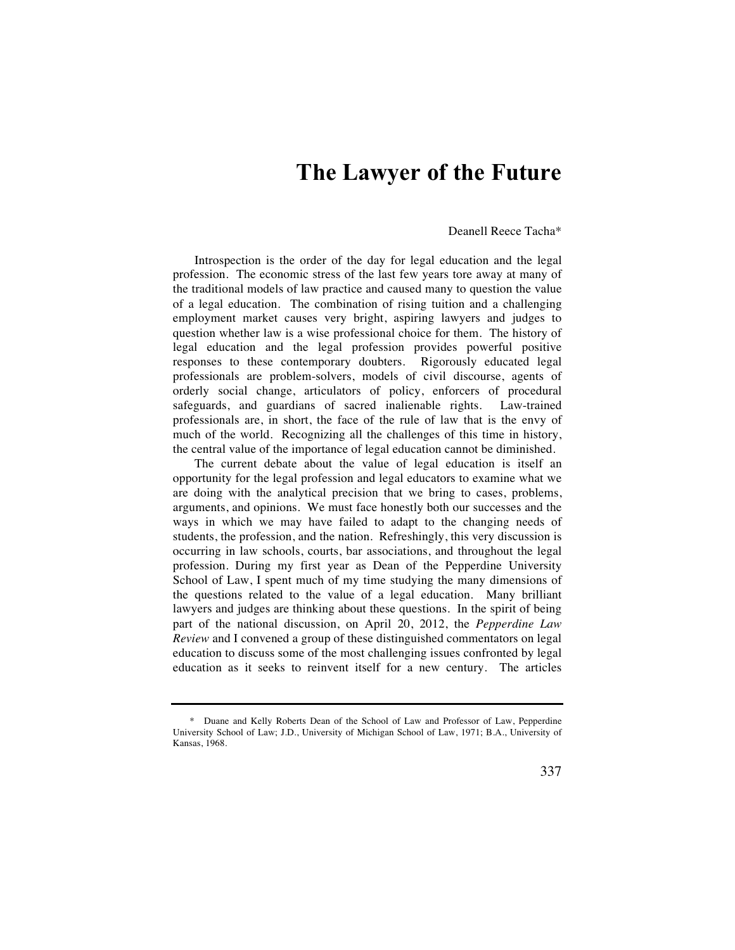## **The Lawyer of the Future**

## Deanell Reece Tacha\*

Introspection is the order of the day for legal education and the legal profession. The economic stress of the last few years tore away at many of the traditional models of law practice and caused many to question the value of a legal education. The combination of rising tuition and a challenging employment market causes very bright, aspiring lawyers and judges to question whether law is a wise professional choice for them. The history of legal education and the legal profession provides powerful positive responses to these contemporary doubters. Rigorously educated legal professionals are problem-solvers, models of civil discourse, agents of orderly social change, articulators of policy, enforcers of procedural safeguards, and guardians of sacred inalienable rights. Law-trained professionals are, in short, the face of the rule of law that is the envy of much of the world. Recognizing all the challenges of this time in history, the central value of the importance of legal education cannot be diminished.

The current debate about the value of legal education is itself an opportunity for the legal profession and legal educators to examine what we are doing with the analytical precision that we bring to cases, problems, arguments, and opinions. We must face honestly both our successes and the ways in which we may have failed to adapt to the changing needs of students, the profession, and the nation. Refreshingly, this very discussion is occurring in law schools, courts, bar associations, and throughout the legal profession. During my first year as Dean of the Pepperdine University School of Law, I spent much of my time studying the many dimensions of the questions related to the value of a legal education. Many brilliant lawyers and judges are thinking about these questions. In the spirit of being part of the national discussion, on April 20, 2012, the *Pepperdine Law Review* and I convened a group of these distinguished commentators on legal education to discuss some of the most challenging issues confronted by legal education as it seeks to reinvent itself for a new century. The articles

 <sup>\*</sup> Duane and Kelly Roberts Dean of the School of Law and Professor of Law, Pepperdine University School of Law; J.D., University of Michigan School of Law, 1971; B.A., University of Kansas, 1968.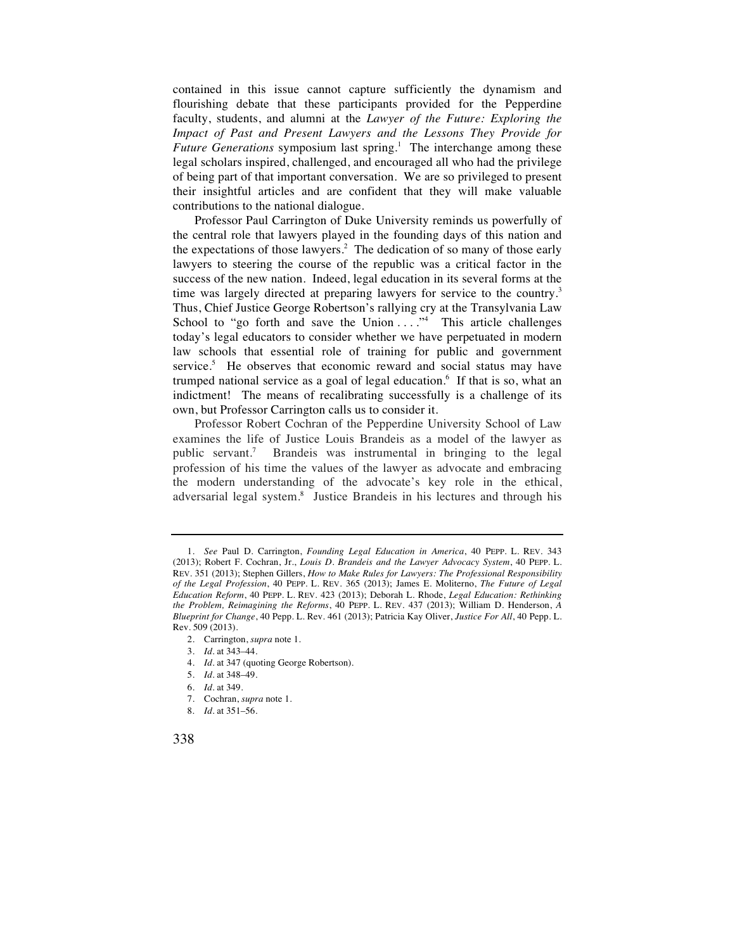contained in this issue cannot capture sufficiently the dynamism and flourishing debate that these participants provided for the Pepperdine faculty, students, and alumni at the *Lawyer of the Future: Exploring the Impact of Past and Present Lawyers and the Lessons They Provide for*  Future Generations symposium last spring.<sup>1</sup> The interchange among these legal scholars inspired, challenged, and encouraged all who had the privilege of being part of that important conversation. We are so privileged to present their insightful articles and are confident that they will make valuable contributions to the national dialogue.

Professor Paul Carrington of Duke University reminds us powerfully of the central role that lawyers played in the founding days of this nation and the expectations of those lawyers.<sup>2</sup> The dedication of so many of those early lawyers to steering the course of the republic was a critical factor in the success of the new nation. Indeed, legal education in its several forms at the time was largely directed at preparing lawyers for service to the country.<sup>3</sup> Thus, Chief Justice George Robertson's rallying cry at the Transylvania Law School to "go forth and save the Union ...."<sup>4</sup> This article challenges today's legal educators to consider whether we have perpetuated in modern law schools that essential role of training for public and government service.<sup>5</sup> He observes that economic reward and social status may have trumped national service as a goal of legal education.<sup>6</sup> If that is so, what an indictment! The means of recalibrating successfully is a challenge of its own, but Professor Carrington calls us to consider it.

Professor Robert Cochran of the Pepperdine University School of Law examines the life of Justice Louis Brandeis as a model of the lawyer as public servant.7 Brandeis was instrumental in bringing to the legal profession of his time the values of the lawyer as advocate and embracing the modern understanding of the advocate's key role in the ethical, adversarial legal system.<sup>8</sup> Justice Brandeis in his lectures and through his

- 4. *Id.* at 347 (quoting George Robertson).
- 5. *Id.* at 348–49.
- 6. *Id.* at 349.
- 7. Cochran, *supra* note 1.
- 8. *Id.* at 351–56.



 <sup>1.</sup> *See* Paul D. Carrington, *Founding Legal Education in America*, 40 PEPP. L. REV. 343 (2013); Robert F. Cochran, Jr., *Louis D. Brandeis and the Lawyer Advocacy System*, 40 PEPP. L. REV. 351 (2013); Stephen Gillers, *How to Make Rules for Lawyers: The Professional Responsibility of the Legal Profession*, 40 PEPP. L. REV. 365 (2013); James E. Moliterno, *The Future of Legal Education Reform*, 40 PEPP. L. REV. 423 (2013); Deborah L. Rhode, *Legal Education: Rethinking the Problem, Reimagining the Reforms*, 40 PEPP. L. REV. 437 (2013); William D. Henderson, *A Blueprint for Change*, 40 Pepp. L. Rev. 461 (2013); Patricia Kay Oliver, *Justice For All*, 40 Pepp. L. Rev. 509 (2013).

 <sup>2.</sup> Carrington, *supra* note 1.

 <sup>3.</sup> *Id.* at 343–44.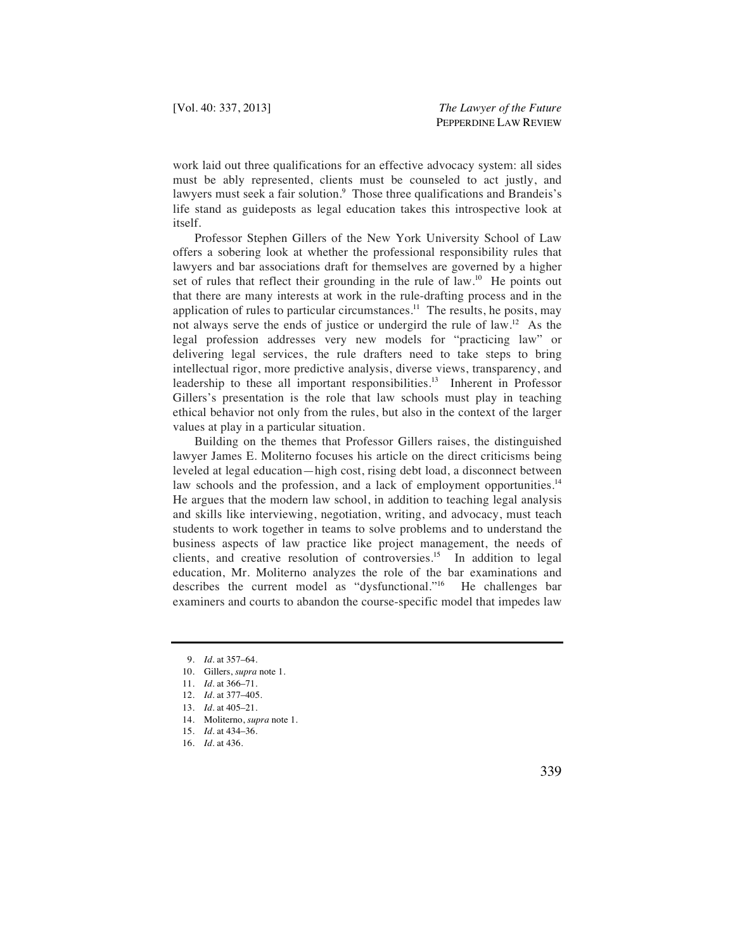work laid out three qualifications for an effective advocacy system: all sides must be ably represented, clients must be counseled to act justly, and lawyers must seek a fair solution.<sup>9</sup> Those three qualifications and Brandeis's life stand as guideposts as legal education takes this introspective look at itself.

Professor Stephen Gillers of the New York University School of Law offers a sobering look at whether the professional responsibility rules that lawyers and bar associations draft for themselves are governed by a higher set of rules that reflect their grounding in the rule of law.<sup>10</sup> He points out that there are many interests at work in the rule-drafting process and in the application of rules to particular circumstances.<sup>11</sup> The results, he posits, may not always serve the ends of justice or undergird the rule of law.12 As the legal profession addresses very new models for "practicing law" or delivering legal services, the rule drafters need to take steps to bring intellectual rigor, more predictive analysis, diverse views, transparency, and leadership to these all important responsibilities.<sup>13</sup> Inherent in Professor Gillers's presentation is the role that law schools must play in teaching ethical behavior not only from the rules, but also in the context of the larger values at play in a particular situation.

Building on the themes that Professor Gillers raises, the distinguished lawyer James E. Moliterno focuses his article on the direct criticisms being leveled at legal education—high cost, rising debt load, a disconnect between law schools and the profession, and a lack of employment opportunities.<sup>14</sup> He argues that the modern law school, in addition to teaching legal analysis and skills like interviewing, negotiation, writing, and advocacy, must teach students to work together in teams to solve problems and to understand the business aspects of law practice like project management, the needs of clients, and creative resolution of controversies.<sup>15</sup> In addition to legal education, Mr. Moliterno analyzes the role of the bar examinations and describes the current model as "dysfunctional."<sup>16</sup> He challenges bar examiners and courts to abandon the course-specific model that impedes law

 <sup>9.</sup> *Id.* at 357–64.

 <sup>10.</sup> Gillers, *supra* note 1.

 <sup>11.</sup> *Id.* at 366–71.

 <sup>12.</sup> *Id.* at 377–405.

 <sup>13.</sup> *Id.* at 405–21.

 <sup>14.</sup> Moliterno, *supra* note 1.

 <sup>15.</sup> *Id.* at 434–36.

 <sup>16.</sup> *Id.* at 436.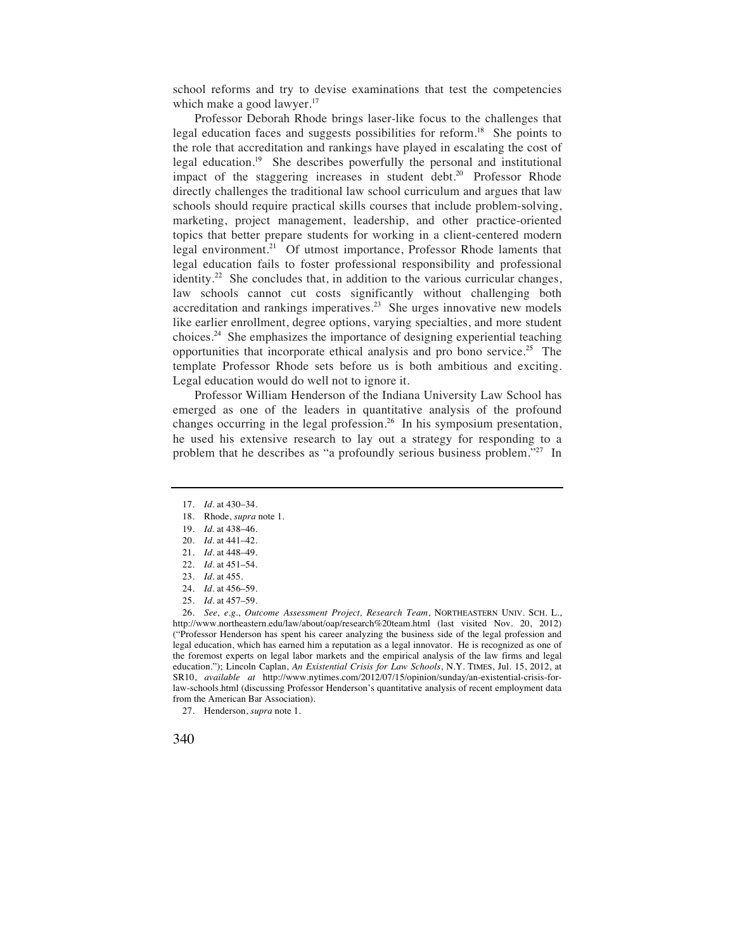school reforms and try to devise examinations that test the competencies which make a good lawyer.<sup>17</sup>

Professor Deborah Rhode brings laser-like focus to the challenges that legal education faces and suggests possibilities for reform.18 She points to the role that accreditation and rankings have played in escalating the cost of legal education.19 She describes powerfully the personal and institutional impact of the staggering increases in student debt.<sup>20</sup> Professor Rhode directly challenges the traditional law school curriculum and argues that law schools should require practical skills courses that include problem-solving, marketing, project management, leadership, and other practice-oriented topics that better prepare students for working in a client-centered modern legal environment.<sup>21</sup> Of utmost importance, Professor Rhode laments that legal education fails to foster professional responsibility and professional identity.22 She concludes that, in addition to the various curricular changes, law schools cannot cut costs significantly without challenging both accreditation and rankings imperatives.<sup>23</sup> She urges innovative new models like earlier enrollment, degree options, varying specialties, and more student choices.24 She emphasizes the importance of designing experiential teaching opportunities that incorporate ethical analysis and pro bono service.25 The template Professor Rhode sets before us is both ambitious and exciting. Legal education would do well not to ignore it.

Professor William Henderson of the Indiana University Law School has emerged as one of the leaders in quantitative analysis of the profound changes occurring in the legal profession.<sup>26</sup> In his symposium presentation, he used his extensive research to lay out a strategy for responding to a problem that he describes as "a profoundly serious business problem."27 In

 <sup>27.</sup> Henderson, *supra* note 1.



 <sup>17.</sup> *Id.* at 430–34.

 <sup>18.</sup> Rhode, *supra* note 1.

 <sup>19.</sup> *Id.* at 438–46.

 <sup>20.</sup> *Id.* at 441–42.

 <sup>21.</sup> *Id.* at 448–49.

 <sup>22.</sup> *Id.* at 451–54. 23. *Id.* at 455.

 <sup>24.</sup> *Id.* at 456–59.

 <sup>25.</sup> *Id.* at 457–59.

 <sup>26.</sup> *See, e.g.*, *Outcome Assessment Project, Research Team*, NORTHEASTERN UNIV. SCH. L., http://www.northeastern.edu/law/about/oap/research%20team.html (last visited Nov. 20, 2012) ("Professor Henderson has spent his career analyzing the business side of the legal profession and legal education, which has earned him a reputation as a legal innovator. He is recognized as one of the foremost experts on legal labor markets and the empirical analysis of the law firms and legal education."); Lincoln Caplan, *An Existential Crisis for Law Schools*, N.Y. TIMES, Jul. 15, 2012, at SR10, *available at* http://www.nytimes.com/2012/07/15/opinion/sunday/an-existential-crisis-forlaw-schools.html (discussing Professor Henderson's quantitative analysis of recent employment data from the American Bar Association).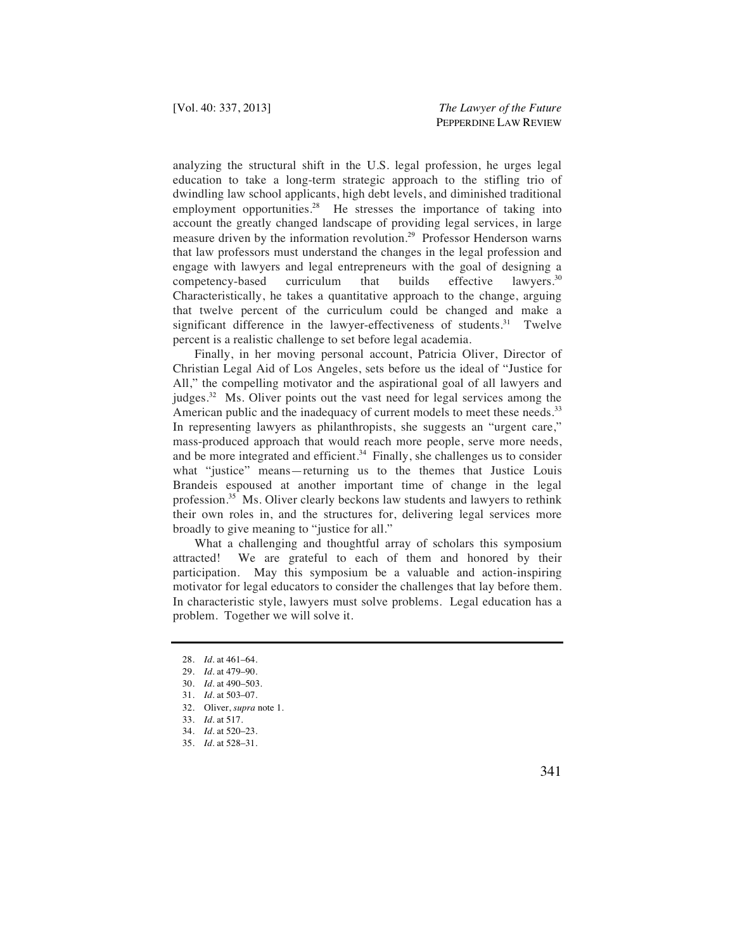analyzing the structural shift in the U.S. legal profession, he urges legal education to take a long-term strategic approach to the stifling trio of dwindling law school applicants, high debt levels, and diminished traditional employment opportunities.<sup>28</sup> He stresses the importance of taking into account the greatly changed landscape of providing legal services, in large measure driven by the information revolution.<sup>29</sup> Professor Henderson warns that law professors must understand the changes in the legal profession and engage with lawyers and legal entrepreneurs with the goal of designing a competency-based curriculum that builds effective lawyers.30 Characteristically, he takes a quantitative approach to the change, arguing that twelve percent of the curriculum could be changed and make a significant difference in the lawyer-effectiveness of students.<sup>31</sup> Twelve percent is a realistic challenge to set before legal academia.

Finally, in her moving personal account, Patricia Oliver, Director of Christian Legal Aid of Los Angeles, sets before us the ideal of "Justice for All," the compelling motivator and the aspirational goal of all lawyers and judges.32 Ms. Oliver points out the vast need for legal services among the American public and the inadequacy of current models to meet these needs.<sup>33</sup> In representing lawyers as philanthropists, she suggests an "urgent care," mass-produced approach that would reach more people, serve more needs, and be more integrated and efficient.<sup>34</sup> Finally, she challenges us to consider what "justice" means—returning us to the themes that Justice Louis Brandeis espoused at another important time of change in the legal profession.35 Ms. Oliver clearly beckons law students and lawyers to rethink their own roles in, and the structures for, delivering legal services more broadly to give meaning to "justice for all."

What a challenging and thoughtful array of scholars this symposium attracted! We are grateful to each of them and honored by their participation. May this symposium be a valuable and action-inspiring motivator for legal educators to consider the challenges that lay before them. In characteristic style, lawyers must solve problems. Legal education has a problem. Together we will solve it.

 <sup>28.</sup> *Id.* at 461–64.

 <sup>29.</sup> *Id.* at 479–90.

 <sup>30.</sup> *Id.* at 490–503.

 <sup>31.</sup> *Id.* at 503–07.

 <sup>32.</sup> Oliver, *supra* note 1.

 <sup>33.</sup> *Id.* at 517.

 <sup>34.</sup> *Id.* at 520–23.

 <sup>35.</sup> *Id.* at 528–31.